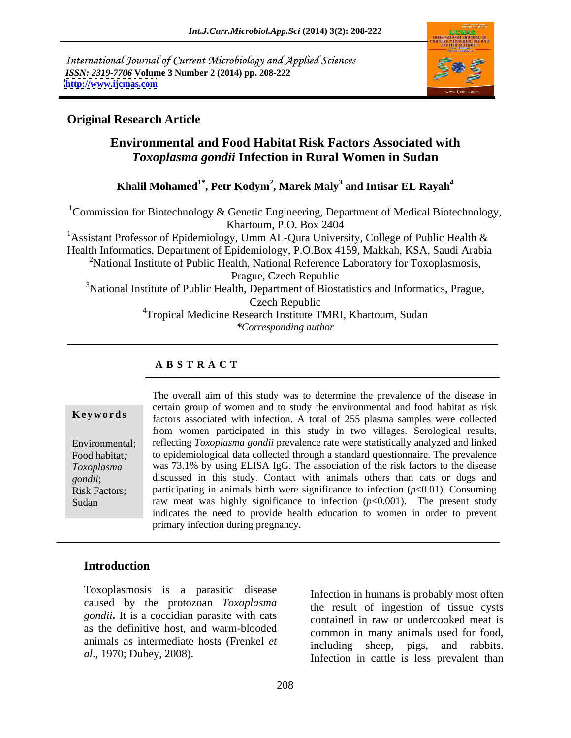International Journal of Current Microbiology and Applied Sciences *ISSN: 2319-7706* **Volume 3 Number 2 (2014) pp. 208-222 <http://www.ijcmas.com>**



### **Original Research Article**

## **Environmental and Food Habitat Risk Factors Associated with** *Toxoplasma gondii* **Infection in Rural Women in Sudan**

### **Khalil Mohamed1\* , Petr Kodym<sup>2</sup> , Marek Maly<sup>3</sup> and Intisar EL Rayah<sup>4</sup>**

<sup>1</sup>Commission for Biotechnology & Genetic Engineering, Department of Medical Biotechnology, Khartoum, P.O. Box 2404 <sup>1</sup> Assistant Professor of Epidemiology, Umm AL-Qura University, College of Public Health & Health Informatics, Department of Epidemiology, P.O.Box 4159, Makkah, KSA, Saudi Arabia <sup>2</sup>National Institute of Public Health, National Reference Laboratory for Toxoplasmosis, Prague, Czech Republic <sup>3</sup>National Institute of Public Health, Department of Biostatistics and Informatics, Prague, Czech Republic <sup>4</sup>Tropical Medicine Research Institute TMRI, Khartoum, Sudan *\*Corresponding author*

### **A B S T R A C T**

**Keywords** factors associated with infection. A total of 255 plasma samples were collected Environmental; reflecting *Toxoplasma gondii* prevalence rate were statistically analyzed and linked Food habitat*;* to epidemiological data collected through a standard questionnaire. The prevalence *Toxoplasma*  was 73.1% by using ELISA IgG. The association of the risk factors to the disease *gondii*; discussed in this study. Contact with animals others than cats or dogs and Risk Factors; participating in animals birth were significance to infection (*p*<0.01). Consuming Sudan raw meat was highly significance to infection (*p*<0.001). The present study The overall aim of this study was to determine the prevalence of the disease in certain group of women and to study the environmental and food habitat as risk from women participated in this study in two villages. Serological results, indicates the need to provide health education to women in order to prevent primary infection during pregnancy.

## **Introduction**

Toxoplasmosis is a parasitic disease caused by the protozoan *Toxoplasma gondii***.** It is a coccidian parasite with cats as the definitive host, and warm-blooded animals as intermediate hosts (Frenkel *et* 

*al*., 1970; Dubey, 2008). The method is less prevalent than the state of the state of the state of the state of the state of the state of the state of the state of the state of the state of the state of the state of the s Infection in humans is probably most often the result of ingestion of tissue cysts contained in raw or undercooked meat is common in many animals used for food, including sheep, pigs, and rabbits.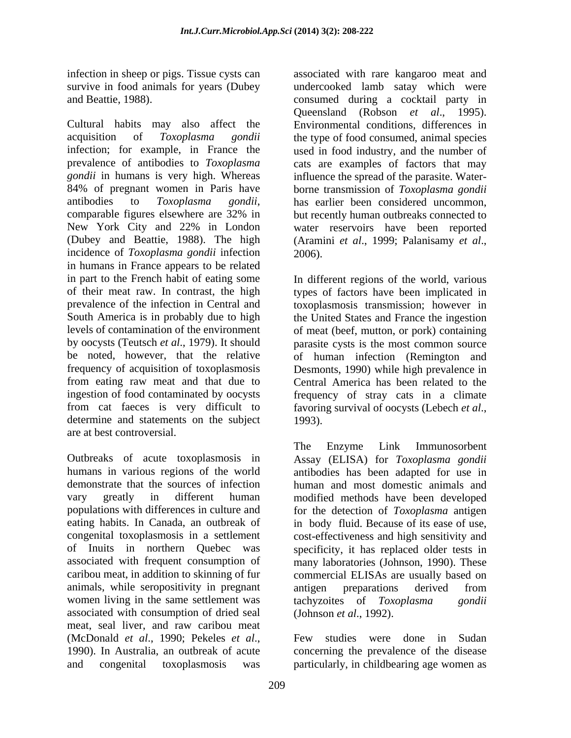infection in sheep or pigs. Tissue cysts can

Cultural habits may also affect the Environmental conditions, differences in acquisition of *Toxoplasma gondii* the type of food consumed, animal species infection; for example, in France the used in food industry, and the number of prevalence of antibodies to *Toxoplasma* cats are examples of factors that may *gondii* in humans is very high. Whereas influence the spread of the parasite. Water- 84% of pregnant women in Paris have borne transmission of *Toxoplasma gondii* antibodies to *Toxoplasma gondii*, has earlier been considered uncommon, comparable figures elsewhere are 32% in but recently human outbreaks connected to New York City and 22% in London water reservoirs have been reported (Dubey and Beattie, 1988). The high (Aramini et al., 1999; Palanisamy et al., incidence of *Toxoplasma gondii* infection 2006). in humans in France appears to be related in part to the French habit of eating some In different regions of the world, various of their meat raw. In contrast, the high types of factors have been implicated in prevalence of the infection in Central and toxoplasmosis transmission; however in South America is in probably due to high the United States and France the ingestion levels of contamination of the environment of meat (beef, mutton, or pork) containing by oocysts (Teutsch *et al*., 1979). It should parasite cysts is the most common source be noted, however, that the relative of human infection (Remington and frequency of acquisition of toxoplasmosis Desmonts, 1990) while high prevalence in from eating raw meat and that due to Central America has been related to the ingestion of food contaminated by oocysts frequency of stray cats in a climate from cat faeces is very difficult to favoring survival of oocysts (Lebech *et al.*, determine and statements on the subject 1993). determine and statements on the subject 1993). are at best controversial.

Outbreaks of acute toxoplasmosis in Assay (ELISA) for Toxoplasma gondii humans in various regions of the world antibodies has been adapted for use in demonstrate that the sources of infection human and most domestic animals and vary greatly in different human modified methods have been developed populations with differences in culture and for the detection of *Toxoplasma* antigen eating habits. In Canada, an outbreak of in body fluid. Because of its ease of use, congenital toxoplasmosis in a settlement cost-effectiveness and high sensitivity and of Inuits in northern Quebec was specificity, it has replaced older tests in associated with frequent consumption of many laboratories (Johnson, 1990). These caribou meat, in addition to skinning of fur commercial ELISAs are usually based on animals, while seropositivity in pregnant women living in the same settlement was tachyzoites of *Toxoplasma gondii* associated with consumption of dried seal meat, seal liver, and raw caribou meat (McDonald *et al.*, 1990; Pekeles *et al.*, Few studies were done in Sudan 1990). In Australia, an outbreak of acute concerning the prevalence of the disease and congenital toxoplasmosis was particularly, in childbearing age women as

survive in food animals for years (Dubey undercooked lamb satay which were and Beattie, 1988). consumed during a cocktail party in associated with rare kangaroo meat and Queensland (Robson *et al*., 1995). has earlier been considered uncommon, but recently human outbreaks connected to (Aramini *et al*., 1999; Palanisamy *et al*., 2006).

The Enzyme Link Immunosorbent Assay (ELISA) for *Toxoplasma gondii* antibodies has been adapted for use in antigen preparations derived from tachyzoites of *Toxoplasma* (Johnson *et al*., 1992).

Few studies were done in Sudan concerning the prevalence of the disease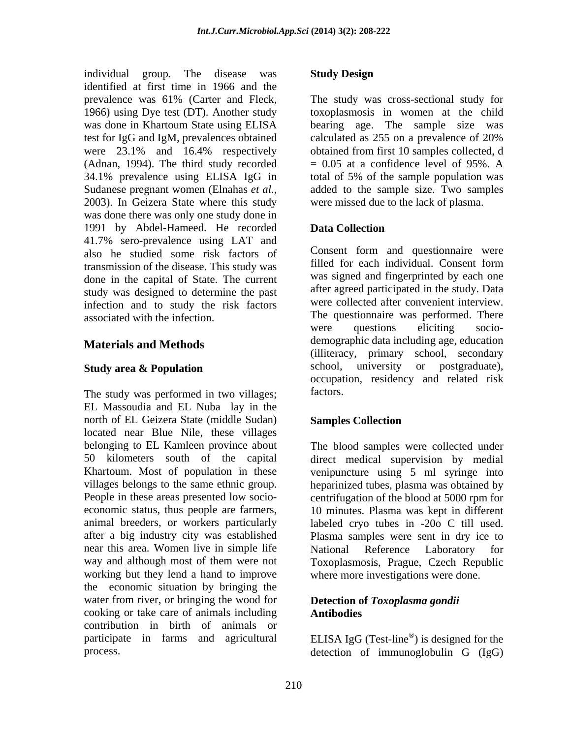individual group. The disease was identified at first time in 1966 and the (Adnan, 1994). The third study recorded was done there was only one study done in 1991 by Abdel-Hameed. He recorded 41.7% sero-prevalence using LAT and also he studied some risk factors of Consent form and questionnaire were<br>transmission of the disease This study was filled for each individual. Consent form transmission of the disease. This study was done in the capital of State. The current study was designed to determine the past infection and to study the risk factors

### **Materials and Methods**

The study was performed in two villages; factors. EL Massoudia and EL Nuba lay in the north of EL Geizera State (middle Sudan) Samples Collection located near Blue Nile, these villages belonging to EL Kamleen province about People in these areas presented low socio near this area. Women live in simple life National Reference Laboratory for working but they lend a hand to improve the economic situation by bringing the water from river, or bringing the wood for cooking or take care of animals including contribution in birth of animals or participate in farms and agricultural ELISA IgG (Test-line<sup>®</sup>) is designed for the

### **Study Design**

prevalence was 61% (Carter and Fleck, The study was cross-sectional study for 1966) using Dye test (DT). Another study toxoplasmosis in women at the child was done in Khartoum State using ELISA bearing age. The sample size was test for IgG and IgM, prevalences obtained calculated as 255 on a prevalence of 20% were 23.1% and 16.4% respectively obtained from first 10 samples collected, d 34.1% prevalence using ELISA IgG in total of 5% of the sample population was Sudanese pregnant women (Elnahas *et al.*, added to the sample size. Two samples 2003). In Geizera State where this study were missed due to the lack of plasma. The study was cross-sectional study for obtained from first 10 samples collected, d  $= 0.05$  at a confidence level of 95%. A added to the sample size. Two samples were missed due to the lack of plasma.

### **Data Collection**

associated with the infection. The questionnaire was performed. There **Study area & Population** expression and school, university or postgraduate), Consent form and questionnaire were filled for each individual. Consent form was signed and fingerprinted by each one after agreed participated in the study. Data were collected after convenient interview. were questions eliciting socio demographic data including age, education (illiteracy, primary school, secondary school, university or postgraduate), occupation, residency and related risk factors.

### **Samples Collection**

50 kilometers south of the capital direct medical supervision by medial Khartoum. Most of population in these venipuncture using 5 ml syringe into villages belongs to the same ethnic group. heparinized tubes, plasma was obtained by economic status, thus people are farmers, 10 minutes. Plasma was kept in different animal breeders, or workers particularly labeled cryo tubes in -20o C till used. after a big industry city was established Plasma samples were sent in dry ice to way and although most of them were not Toxoplasmosis, Prague, Czech Republic The blood samples were collected under centrifugation of the blood at 5000 rpm for National Reference Laboratory for where more investigations were done.

### **Detection of** *Toxoplasma gondii* **Antibodies**

process. detection of immunoglobulin G (IgG)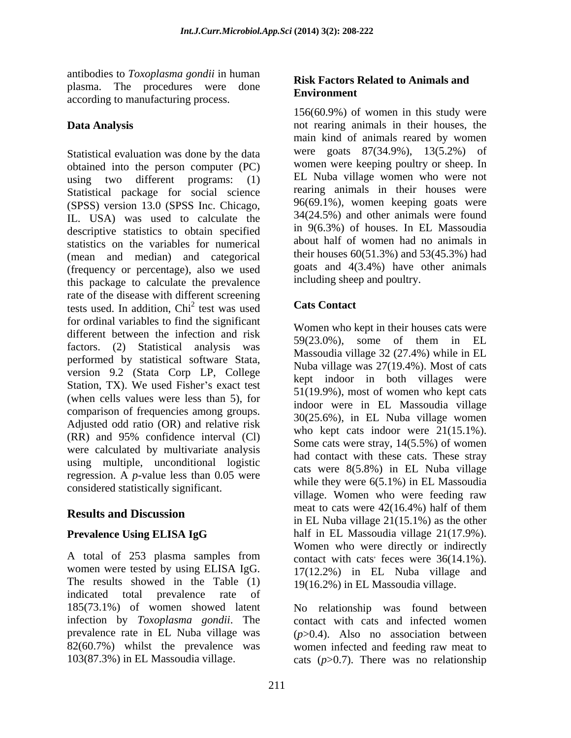antibodies to *Toxoplasma gondii* in human plasma. The procedures were done **NISA PACCOLS** according to manufacturing process.

Statistical evaluation was done by the data obtained into the person computer (PC) using two different programs: (1) Statistical package for social science (SPSS) version 13.0 (SPSS Inc. Chicago, IL. USA) was used to calculate the descriptive statistics to obtain specified statistics on the variables for numerical (mean and median) and categorical (frequency or percentage), also we used this package to calculate the prevalence rate of the disease with different screening<br>tests used In addition  $\text{Chi}^2$  test uses used Cats Contact tests used. In addition,  $Chi<sup>2</sup>$  test was used test was used **Cats Contact** for ordinal variables to find the significant different between the infection and risk<br> $59(23.0\%)$ , some of them in EL factors. (2) Statistical analysis was performed by statistical software Stata, version 9.2 (Stata Corp LP, College Station, TX). We used Fisher's exact test (when cells values were less than 5), for comparison of frequencies among groups. Adjusted odd ratio (OR) and relative risk  $(RR)$  and 95% confidence interval  $(Cl)$  who kept cas move that  $14(5.5\%)$  of women were calculated by multivariate analysis using multiple, unconditional logistic regression. A *p*-value less than 0.05 were considered statistically significant.

A total of 253 plasma samples from women were tested by using ELISA IgG. The results showed in the Table (1) indicated total prevalence rate of 185(73.1%) of women showed latent infection by *Toxoplasma gondii*. The contact with cats and infected women prevalence rate in EL Nuba village was (*p*>0.4). Also no association between 82(60.7%) whilst the prevalence was women infected and feeding raw meat to 103(87.3%) in EL Massoudia village. cats (*p*>0.7). There was no relationship

### **Risk Factors Related to Animals and Environment**

**Data Analysis** not rearing animals in their houses, the 156(60.9%) of women in this study were main kind of animals reared by women were goats 87(34.9%), 13(5.2%) of women were keeping poultry or sheep. In EL Nuba village women who were not rearing animals in their houses were 96(69.1%), women keeping goats were 34(24.5%) and other animals were found in 9(6.3%) of houses. In EL Massoudia about half of women had no animals in their houses 60(51.3%) and 53(45.3%) had goats and 4(3.4%) have other animals including sheep and poultry.

### **Cats Contact**

**Results and Discussion**<br> $\frac{1}{2}$  **Results and Discussion**<br> $\frac{1}{2}$  **RELATE AND**  $\frac{1}{2}$  **RELATE AND**  $\frac{1}{2}$  **CO**  $\frac{1}{2}$  **Co**  $\frac{1}{2}$  **Co**  $\frac{1}{2}$  **Co**  $\frac{1}{2}$  **Co**  $\frac{1}{2}$  **Co**  $\frac{1}{2}$  **Co**  $\frac{1}{2}$  **Prevalence Using ELISA IgG** half in EL Massoudia village 21(17.9%). Women who kept in their houses cats were 59(23.0%), some of them in EL Massoudia village 32 (27.4%) while in EL Nuba village was 27(19.4%). Most of cats kept indoor in both villages were 51(19.9%), most of women who kept cats indoor were in EL Massoudia village 30(25.6%), in EL Nuba village women who kept cats indoor were 21(15.1%). Some cats were stray, 14(5.5%) of women had contact with these cats. These stray cats were 8(5.8%) in EL Nuba village while they were 6(5.1%) in EL Massoudia village. Women who were feeding raw meat to cats were 42(16.4%) half of them in EL Nuba village 21(15.1%) as the other Women who were directly or indirectly contact with cats feces were  $36(14.1\%)$ .  $i$  feces were 36(14.1%). 17(12.2%) in EL Nuba village and 19(16.2%) in EL Massoudia village.

No relationship was found between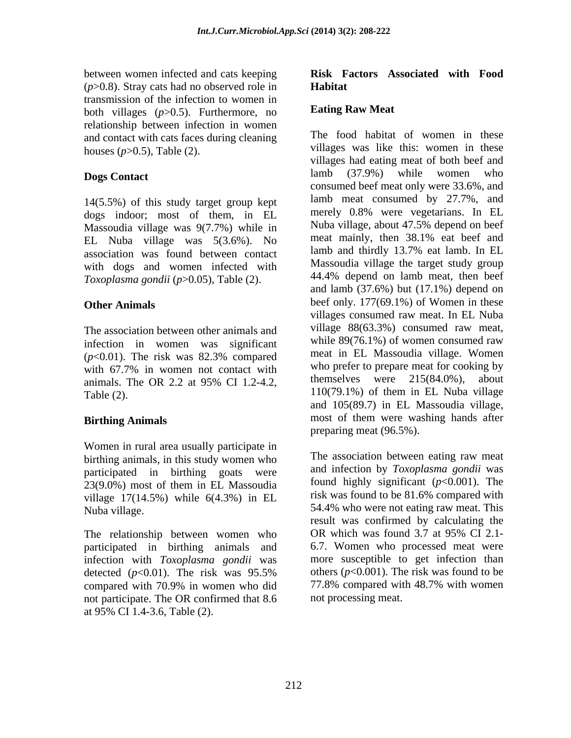between women infected and cats keeping **Risk Factors Associated with Food**   $(p>0.8)$ . Stray cats had no observed role in **Habitat** transmission of the infection to women in<br>both villages  $(n>0.5)$  Eurthermore, no. **Eating Raw Meat** both villages (*p*>0.5). Furthermore, no relationship between infection in women and contact with cats faces during cleaning

14(5.5%) of this study target group kept dogs indoor; most of them, in EL Massoudia village was  $9(7.7\%)$  while in Nuba village, about 47.5% depend on beet<br>EL Nuba village was  $5(3.6\%)$  No meat mainly, then 38.1% eat beef and EL Nuba village was 5(3.6%). No meat mainly, then 38.1% eat beef and<br>association was found between contact lamb and thirdly 13.7% eat lamb. In EL association was found between contact with dogs and women infected with *Toxoplasma gondii* (*p*>0.05), Table (2).

The association between other animals and infection in women was significant

Women in rural area usually participate in birthing animals, in this study women who participated in birthing goats were 23(9.0%) most of them in EL Massoudia village 17(14.5%) while 6(4.3%) in EL

participated in birthing animals and infection with *Toxoplasma gondii* was not participate.The OR confirmed that 8.6 at 95% CI 1.4-3.6, Table (2).

# **Habitat**

### **Eating Raw Meat**

houses  $(p>0.5)$ , Table (2).  $\blacksquare$  villages was like this: women in these **Dogs Contact** and the contract contract and the contract contract and the contract contract and the contract of the contract of the contract of the contract of the contract of the contract of the contract of the contract Other Animals beef only. 177(69.1%) of Women in these (*p*<0.01). The risk was 82.3% compared with 67.7% in women not contact with who prefer to prepare meat for cooking by animals. The OR 2.2 at 95% CI 1.2-4.2, themselves were  $215(84.0\%)$ , about Table  $(2)$ . 110(79.1%) of them in EL Nuba village **Birthing Animals Example 10** most of them were washing hands after The food habitat of women in these villages had eating meat of both beef and lamb (37.9%) while women who consumed beef meat only were 33.6%, and lamb meat consumed by 27.7%, and merely 0.8% were vegetarians. In EL Nuba village, about 47.5% depend on beef meat mainly, then 38.1% eat beef and lamb and thirdly 13.7% eat lamb. In EL Massoudia village the target study group 44.4% depend on lamb meat, then beef and lamb  $(37.6\%)$  but  $(17.1\%)$  depend on villages consumed raw meat. In EL Nuba village 88(63.3%) consumed raw meat, while 89(76.1%) of women consumed raw meat in EL Massoudia village. Women who prefer to prepare meat for cooking by themselves were 215(84.0%), about and 105(89.7) in EL Massoudia village, preparing meat (96.5%).

Nuba village. **Example 2018** S4.4% who were not eating raw meat. This The relationship between women who OR which was found 3.7 at 95% CI 2.1detected  $(p<0.01)$ . The risk was 95.5% others  $(p<0.001)$ . The risk was found to be compared with 70.9% in women who did  $\qquad 77.8\%$  compared with 48.7% with women The association between eating raw meat and infection by *Toxoplasma gondii* was found highly significant (*p*<0.001). The risk was found to be 81.6% compared with result was confirmed by calculating the OR which was found 3.7 at 95% CI 2.1- 6.7. Women who processed meat were more susceptible to get infection than others (*p*<0.001). The risk was found to be 77.8% compared with 48.7% with women not processing meat.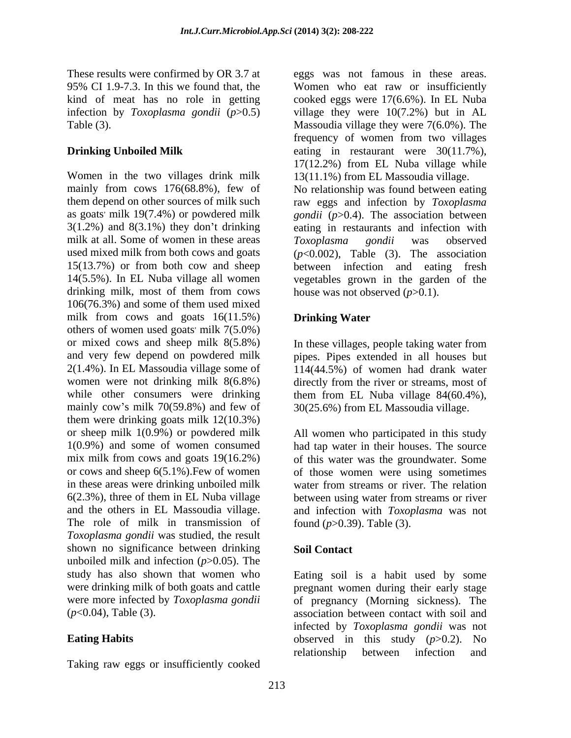These results were confirmed by OR 3.7 at eggs was not famous in these areas. infection by *Toxoplasma gondii* (*p*>0.5)

milk at all. Some of women in these areas Toxoplasma gondii was observed drinking milk, most of them from cows 106(76.3%) and some of them used mixed milk from cows and goats 16(11.5%) Drinking Water others of women used goats' milk 7(5.0%)  $\cdot$  milk 7(5.0%) or mixed cows and sheep milk  $8(5.8\%)$  In these villages, people taking water from and very few depend on powdered milk pipes. Pipes extended in all houses but 2(1.4%). In EL Massoudia village some of 114(44.5%) of women had drank water women were not drinking milk 8(6.8%) directly from the river or streams, most of while other consumers were drinking them from EL Nuba village 84(60.4%), mainly cow's milk 70(59.8%) and few of  $30(25.6%)$  from EL Massoudia village. them were drinking goats milk 12(10.3%) or sheep milk 1(0.9%) or powdered milk All women who participated in this study 1(0.9%) and some of women consumed had tap water in their houses. The source mix milk from cows and goats 19(16.2%) of this water was the groundwater. Some or cows and sheep 6(5.1%).Few of women of those women were using sometimes in these areas were drinking unboiled milk water from streams or river. The relation  $6(2.3\%)$ , three of them in EL Nuba village between using water from streams or river and the others in EL Massoudia village. and infection with *Toxoplasma* was not The role of milk in transmission of *Toxoplasma gondii* was studied, the result shown no significance between drinking Soil Contact unboiled milk and infection (*p*>0.05). The study has also shown that women who Eating soil is a habit used by some were drinking milk of both goats and cattle pregnant women during their early stage were more infected by *Toxoplasma gondii* of pregnancy (Morning sickness). The

Taking raw eggs or insufficiently cooked

95% CI 1.9-7.3. In this we found that, the Women who eat raw or insufficiently kind of meat has no role in getting cooked eggs were 17(6.6%). In EL Nuba Table (3). Massoudia village they were 7(6.0%). The **Drinking Unboiled Milk** eating in restaurant were 30(11.7%), Women in the two villages drink milk 13(11.1%) from EL Massoudia village. mainly from cows 176(68.8%), few of No relationship was found between eating them depend on other sources of milk such raw eggs and infection by *Toxoplasma*  as goats milk 19(7.4%) or powdered milk *gondii*  $(p>0.4)$ . The association between 3(1.2%) and 8(3.1%) they don t drinking eating in restaurants and infection with used mixed milk from both cows and goats  $(p<0.002)$ , Table (3). The association 15(13.7%) or from both cow and sheep between infection and eating fresh 14(5.5%). In EL Nuba village all women vegetables grown in the garden of the village they were 10(7.2%) but in AL frequency of women from two villages 17(12.2%) from EL Nuba village while *Toxoplasma gondii* was observed house was not observed (*p*>0.1).

### **Drinking Water**

In these villages, people taking water from

water from streams or river. The relation between using water from streams or river found (*p*>0.39). Table (3).

### **Soil Contact**

(*p*<0.04), Table (3). association between contact with soil and **Eating Habits** observed in this study (*p*>0.2). No infected by *Toxoplasma gondii* was not relationship between infection and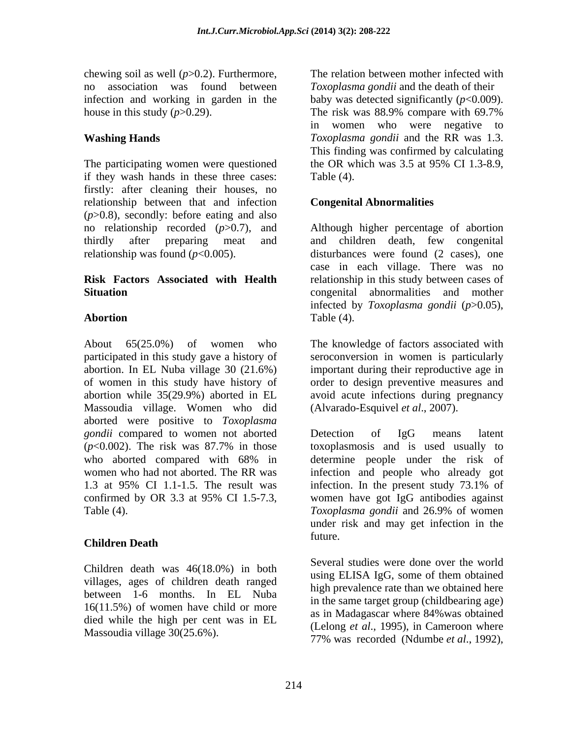chewing soil as well (*p*>0.2). Furthermore, house in this study  $(p>0.29)$ . The risk was 88.9% compare with 69.7%

The participating women were questioned the OR which was 3.5 at 95% CI 1.3-8.9, if they wash hands in these three cases: firstly: after cleaning their houses, no relationship between that and infection (*p*>0.8), secondly: before eating and also

About 65(25.0%) of women who The knowledge of factors associated with participated in this study gave a history of abortion. In EL Nuba village 30 (21.6%) important during their reproductive age in of women in this study have history of order to design preventive measures and abortion while 35(29.9%) aborted in EL avoid acute infections during pregnancy Massoudia village. Women who did aborted were positive to *Toxoplasma gondii* compared to women not aborted Detection of IgG means latent 1.3 at 95% CI 1.1-1.5. The result was infection. In the present study 73.1% of

### **Children Death**

Children death was  $46(18.0\%)$  in both using ELISA IgG, some of them obtained villages, ages of children death ranged between 1-6 months. In EL Nuba 16(11.5%) of women have child or more died while the high per cent was in EL Massoudia village 30(25.6%).

no association was found between *Toxoplasma gondii* and the death of their infection and working in garden in the  $\qquad$  baby was detected significantly ( $p$ <0.009). **Washing Hands** *Toxoplasma* gondii and the RR was 1.3. The relation between mother infected with The risk was 88.9% compare with 69.7% in women who were negative to This finding was confirmed by calculating the OR which was 3.5 at 95% CI 1.3-8.9, Table (4).

### **Congenital Abnormalities**

no relationship recorded (*p*>0.7), and Although higher percentage of abortion thirdly after preparing meat and and children death, few congenital relationship was found  $(p<0.005)$ . disturbances were found  $(2 \text{ cases})$ , one **Risk Factors Associated with Health** relationship in this study between cases of **Situation** congenital abnormalities and mother **Abortion** Table (4). case in each village. There was no infected by *Toxoplasma gondii* (*p*>0.05), Table (4).

> seroconversion in women is particularly (Alvarado-Esquivel *et al*., 2007).

(*p*<0.002). The risk was 87.7% in those who aborted compared with 68% in determine people under the risk of women who had not aborted. The RR was infection and people who already got confirmed by OR 3.3 at 95% CI 1.5-7.3, women have got IgG antibodies against Table (4).  $Toxoplasma\ gondii$  and 26.9% of women Detection of IgG means latent toxoplasmosis and is used usually to determine people under the risk of infection. In the present study 73.1% of women have got IgG antibodies against *Toxoplasma gondii* and 26.9% of women under risk and may get infection in the future.

> Several studies were done over the world using ELISA IgG, some of them obtained high prevalence rate than we obtained here in the same target group (childbearing age) as in Madagascar where 84%was obtained (Lelong *et al*., 1995), in Cameroon where 77% was recorded (Ndumbe *et al*., 1992),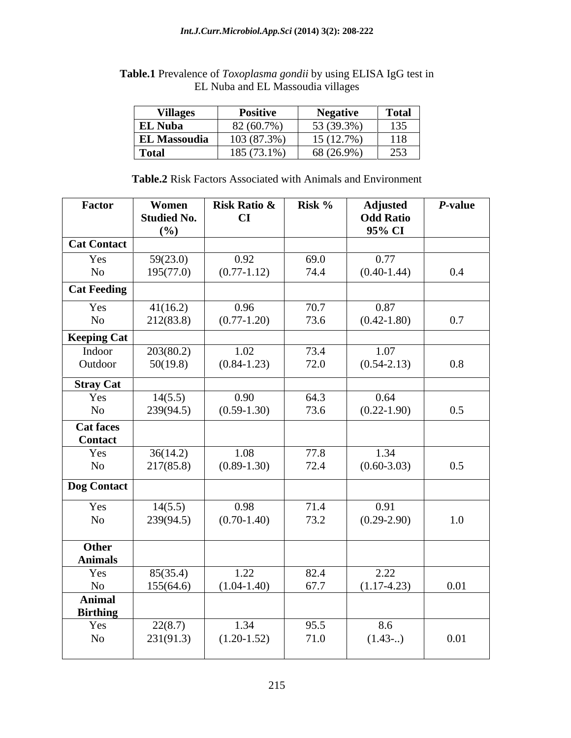| <b>Villages</b>     | Positive    | <b>Negative</b>          | <b>Total</b> |
|---------------------|-------------|--------------------------|--------------|
| <b>EL Nuba</b>      | 82 (60.7%)  | 53 (39.3%)               | 135          |
| <b>EL Massoudia</b> | 103 (87.3%) | $15(12.7\%)$<br>15(12.7) | 118          |
| <b>Total</b>        | 185 (73.1%) | 68 (26.9%)               | 253          |

**Table.1** Prevalence of *Toxoplasma gondii* by using ELISA IgG test in EL Nuba and EL Massoudia villages

**Table.2** Risk Factors Associated with Animals and Environment

| Factor                             | Women                 | Risk Ratio & Risk %     |                     | <b>Adjusted</b>       | P-value |
|------------------------------------|-----------------------|-------------------------|---------------------|-----------------------|---------|
|                                    | <b>Studied No.</b>    | CI                      |                     | <b>Odd Ratio</b>      |         |
|                                    | (9/0)                 |                         |                     | 95% CI                |         |
| <b>Cat Contact</b>                 |                       |                         |                     |                       |         |
| Yes                                | 59(23.0)              | 0.92                    | 69.0                | 0.77                  |         |
| <b>No</b>                          | 195(77.0)             | $(0.77 - 1.12)$         | 74.4                | $(0.40-1.44)$         | 0.4     |
| <b>Cat Feeding</b>                 |                       |                         |                     |                       |         |
|                                    | 41(16.2)              | 0.96                    |                     | 0.87                  |         |
| Yes<br>No                          | 212(83.8)             | $(0.77-1.20)$           | 70.7<br>73.6        | $(0.42 - 1.80)$       | 0.7     |
|                                    |                       |                         |                     |                       |         |
| Keeping Cat<br>Indoor              |                       |                         |                     |                       |         |
|                                    | 203(80.2)             | 1.02                    | 73.4                | 1.07                  |         |
| Outdoor                            | 50(19.8)              | $(0.84 - 1.23)$         | 72.0                | $(0.54 - 2.13)$       | $0.8\,$ |
| <b>Stray Cat</b>                   |                       |                         |                     |                       |         |
| Yes                                | 14(5.5)               | 0.90                    | 64.3                | 0.64                  |         |
| No                                 | 239(94.5)             | $(0.59 - 1.30)$         | 73.6                | $(0.22 - 1.90)$       | 0.5     |
| <b>Cat faces</b><br><b>Contact</b> |                       |                         |                     |                       |         |
|                                    |                       |                         |                     |                       |         |
| Yes                                | 36(14.2)              | 1.08                    | $77.8$<br>$72.4$    | 1.34                  |         |
| No                                 | 217(85.8)             | $(0.89-1.30)$           |                     | $(0.60 - 3.03)$       | 0.5     |
| Dog Contact                        |                       |                         |                     |                       |         |
|                                    |                       |                         |                     |                       |         |
| Yes                                | 14(5.5)               | 0.98                    | 71.4                | 0.91                  |         |
| No                                 | 239(94.5)             | $(0.70 - 1.40)$         | 73.2                | $(0.29 - 2.90)$       | 1.0     |
|                                    |                       |                         |                     |                       |         |
| Other<br><b>Animals</b>            |                       |                         |                     |                       |         |
|                                    |                       |                         |                     |                       |         |
| Yes<br>No                          | 85(35.4)<br>155(64.6) | 1.22<br>$(1.04 - 1.40)$ | 82.4<br>67.7        | 2.22<br>$(1.17-4.23)$ | 0.01    |
| Animal                             |                       |                         |                     |                       |         |
| <b>Birthing</b>                    |                       |                         |                     |                       |         |
| Yes                                | 22(8.7)               | 1.34                    |                     | 8.6                   |         |
| No                                 | 231(91.3)             | $(1.20-1.52)$           | $\frac{95.5}{71.0}$ | (1.43)                | 0.01    |
|                                    |                       |                         |                     |                       |         |
|                                    |                       |                         |                     |                       |         |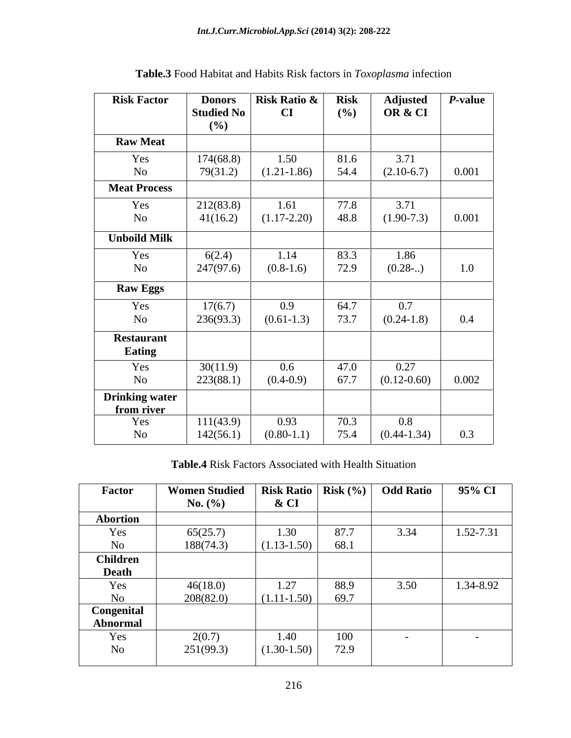| <b>Risk Factor</b>                  | <b>Donors</b>            | <b>Risk Ratio &amp;</b> | <b>Risk</b> | <b>Adjusted</b> | P-value |
|-------------------------------------|--------------------------|-------------------------|-------------|-----------------|---------|
|                                     | <b>Studied No</b><br>(%) | CI                      | (%)         | OR & CI         |         |
| <b>Raw Meat</b>                     |                          |                         |             |                 |         |
| Yes                                 | 174(68.8)                | 1.50                    | 81.6        | 3.71            |         |
| <b>No</b>                           | 79(31.2)                 | $(1.21 - 1.86)$         | 54.4        | $(2.10-6.7)$    | 0.001   |
| <b>Meat Process</b>                 |                          |                         |             |                 |         |
| Yes                                 | 212(83.8)                | 1.61                    | 77.8        | 3.71            |         |
| $\rm No$                            | 41(16.2)                 | $(1.17-2.20)$           | 48.8        | $(1.90-7.3)$    | 0.001   |
| <b>Unboild Milk</b>                 |                          |                         |             |                 |         |
| Yes                                 | 6(2.4)                   | 1.14                    | 83.3        | 1.86            |         |
| N <sub>o</sub>                      | 247(97.6)                | $(0.8-1.6)$             | 72.9        | (0.28)          | 1.0     |
| <b>Raw Eggs</b>                     |                          |                         |             |                 |         |
| Yes                                 | 17(6.7)                  | 0.9                     | 64.7        | 0.7             |         |
| $\rm No$                            | 236(93.3)                | $(0.61 - 1.3)$          | 73.7        | $(0.24 - 1.8)$  | 0.4     |
| <b>Restaurant</b><br><b>Eating</b>  |                          |                         |             |                 |         |
| Yes                                 | 30(11.9)                 | $0.6\,$                 | 47.0        | 0.27            |         |
| $\rm No$                            | 223(88.1)                | $(0.4-0.9)$             | 67.7        | $(0.12 - 0.60)$ | 0.002   |
| <b>Drinking water</b><br>from river |                          |                         |             |                 |         |
| Yes                                 | 111(43.9)                | 0.93                    | 70.3        | 0.8             |         |
| N <sub>o</sub>                      | 142(56.1)                | $(0.80-1.1)$            | 75.4        | $(0.44 - 1.34)$ | 0.3     |

**Table.3** Food Habitat and Habits Risk factors in *Toxoplasma* infection

**Table.4** Risk Factors Associated with Health Situation

| Factor          | <b>Women Studied</b> | Risk Ratio   Risk $(\% )$ |      | <b>Odd Ratio</b> | 95% CI    |
|-----------------|----------------------|---------------------------|------|------------------|-----------|
|                 | No. $(\% )$          | & CI                      |      |                  |           |
| <b>Abortion</b> |                      |                           |      |                  |           |
| Yes             | 65(25.7)             | 1.30                      | 87.7 | 3.34             | 1.52-7.31 |
| No              | 188(74.3)            | $(1.13 - 1.50)$           | 68.1 |                  |           |
| <b>Children</b> |                      |                           |      |                  |           |
| Death           |                      |                           |      |                  |           |
| Yes             | 46(18.0)             | 1.27                      | 88.9 | 3.50             | 1.34-8.92 |
| N <sub>o</sub>  | 208(82.0)            | $(1.11-1.50)$             | 69.7 |                  |           |
| Congenital      |                      |                           |      |                  |           |
| Abnormal        |                      |                           |      |                  |           |
| Yes             | 2(0.7)               | 1.40                      | 100  |                  |           |
| No              | 251(99.3)            | $(1.30-1.50)$             | 72.9 |                  |           |
|                 |                      |                           |      |                  |           |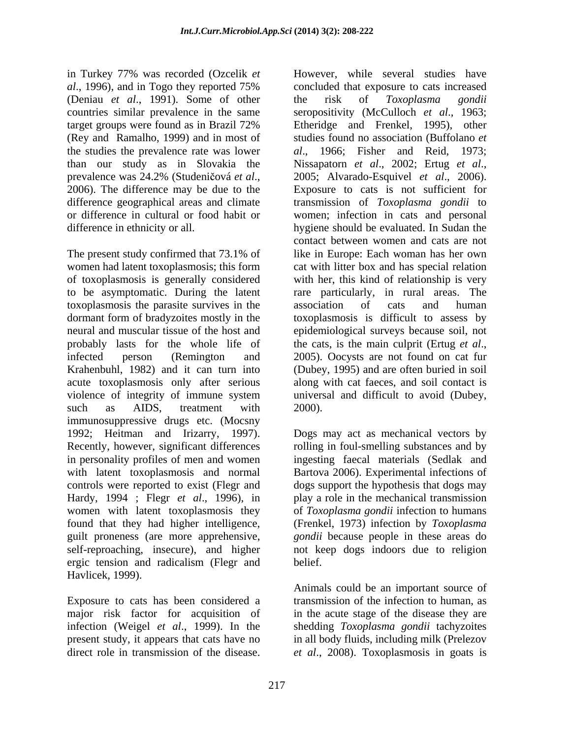in Turkey 77% was recorded (Ozcelik *et*  (Deniau *et al*., 1991). Some of other (Rey and Ramalho, 1999) and in most of than our study as in Slovakia the Nissapatorn et al., 2002; Ertug et al.,

The present study confirmed that 73.1% of like in Europe: Each woman has her own women had latent toxoplasmosis; this form cat with litter box and has special relation of toxoplasmosis is generally considered with her, this kind of relationship is very to be asymptomatic. During the latent rare particularly, in rural areas. The toxoplasmosis the parasite survives in the dormant form of bradyzoites mostly in the toxoplasmosis is difficult to assess by neural and muscular tissue of the host and epidemiological surveys because soil, not probably lasts for the whole life of the cats, is the main culprit (Ertug et al., infected person (Remington and 2005). Oocysts are not found on cat fur Krahenbuhl, 1982) and it can turn into acute toxoplasmosis only after serious violence of integrity of immune system universal and difficult to avoid (Dubey, such as AIDS, treatment with 2000). immunosuppressive drugs etc. (Mocsny 1992; Heitman and Irizarry, 1997). Dogs may act as mechanical vectors by Recently, however, significant differences rolling in foul-smelling substances and by in personality profiles of men and women ingesting faecal materials (Sedlak and with latent toxoplasmosis and normal Bartova 2006). Experimental infections of controls were reported to exist (Flegr and dogs support the hypothesis that dogs may Hardy, 1994 ; Flegr *et al*., 1996), in play a role in the mechanical transmission women with latent toxoplasmosis they found that they had higher intelligence, (Frenkel, 1973) infection by *Toxoplasma*  guilt proneness (are more apprehensive, self-reproaching, insecure), and higher not keep dogs indoors due to religion ergic tension and radicalism (Flegr and Havlicek, 1999).

Exposure to cats has been considered a transmission of the infection to human, as major risk factor for acquisition of in the acute stage of the disease they are infection (Weigel *et al*., 1999). In the present study, it appears that cats have no in all body fluids, including milk (Prelezov

*al*., 1996), and in Togo they reported 75% countries similar prevalence in the same seropositivity (McCulloch *et al*., 1963; target groups were found as in Brazil 72% the studies the prevalence rate was lower *al*., 1966; Fisher and Reid,1973; prevalence was 24.2% (Studeničová *et al.*, 2005; Alvarado-Esquivel *et al.*, 2006).<br>2006). The difference may be due to the Exposure to cats is not sufficient for difference geographical areas and climate transmission of *Toxoplasma gondii* to or difference in cultural or food habit or women; infection in cats and personal difference in ethnicity or all. hygiene should be evaluated. In Sudan the in Tarticey 7% was recorded (Openies and studies have the several studies have the disease. The disease of the disease of the disease of the disease of the disease of the disease. However, while the disease of the disease concluded that exposure to cats increased the risk of *Toxoplasma gondii* Etheridge and Frenkel, 1995), other studies found no association (Buffolano *et*  Nissapatorn *et al*., 2002; Ertug *et al*., 2005; Alvarado-Esquivel *et al*., 2006). Exposure to cats is not sufficient for contact between women and cats are not like in Europe: Each woman has her own association of cats and human the cats, is the main culprit (Ertug *et al*., 2005). Oocysts are not found on cat fur (Dubey, 1995) and are often buried in soil along with cat faeces, and soil contact is 2000).

of *Toxoplasma gondii* infection to humans *gondii* because people in these areas do belief.

Animals could be an important source of shedding *Toxoplasma gondii* tachyzoites *et al*., 2008). Toxoplasmosis in goats is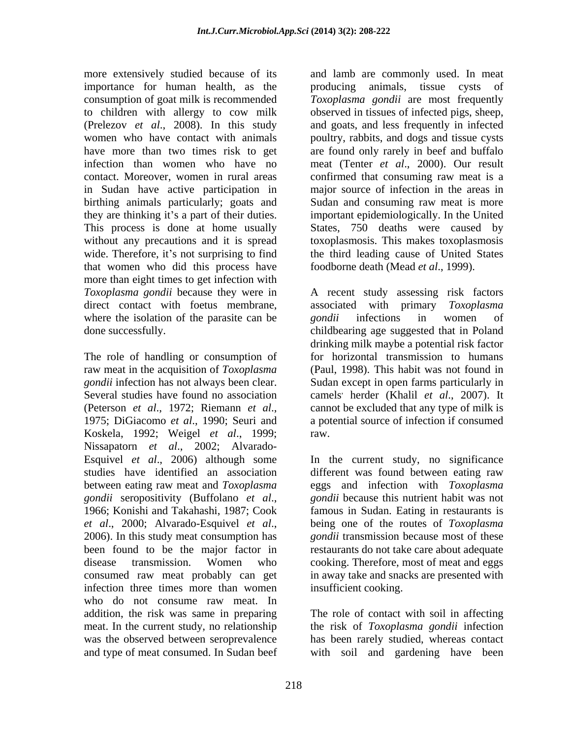importance for human health, as the producing animals, tissue cysts of to children with allergy to cow milk (Prelezov *et al*., 2008). In this study women who have contact with animals birthing animals particularly; goats and without any precautions and it is spread that women who did this process have more than eight times to get infection with direct contact with foetus membrane, associated with primary Toxoplasma where the isolation of the parasite can be gondi infections in women of

The role of handling or consumption of Koskela, 1992; Weigel *et al*., 1999; Nissapatorn *et al*., 2002; Alvarado- Esquivel *et al.*, 2006) although some In the current study, no significance consumed raw meat probably can get infection three times more than women who do not consume raw meat. In addition, the risk was same in preparing The role of contact with soil in affecting meat. In the current study, no relationship the risk of *Toxoplasma gondii* infection was the observed between seroprevalence has been rarely studied, whereas contact

more extensively studied because of its and lamb are commonly used. In meat consumption of goat milk is recommended *Toxoplasma gondii* are most frequently have more than two times risk to get are found only rarely in beef and buffalo infection than women who have no meat (Tenter *et al*., 2000). Our result contact. Moreover, women in rural areas confirmed that consuming raw meat is a in Sudan have active participation in major source of infection in the areas in they are thinking it's a part of their duties. In important epidemiologically. In the United<br>This process is done at home usually States, 750 deaths were caused by wide. Therefore, it's not surprising to find the third leading cause of United States producing animals, tissue cysts observed in tissues of infected pigs, sheep, and goats, and less frequently in infected poultry, rabbits, and dogs and tissue cysts Sudan and consuming raw meat is more important epidemiologically. In the United States, 750 deaths were caused by toxoplasmosis. This makes toxoplasmosis foodborne death (Mead *et al*., 1999).

*Toxoplasma gondii* because they were in A recent study assessing risk factors done successfully. childbearing age suggested that in Poland raw meat in the acquisition of *Toxoplasma*  (Paul, 1998). This habit was not found in *gondii* infection has not always been clear. Sudan except in open farms particularly in Several studies have found no association camels herder (Khalil *et al.*, 2007). It (Peterson *et al*., 1972; Riemann *et al*., 1975; DiGiacomo *et al*., 1990; Seuri and associated with primary *Toxoplasma gondii* infections in women of drinking milk maybe a potential risk factor for horizontal transmission to humans cannot be excluded that any type of milk is a potential source of infection if consumed

studies have identified an association different was found between eating raw between eating raw meat and *Toxoplasma*  eggs and infection with *Toxoplasma gondii* seropositivity (Buffolano *et al*., 1966; Konishi and Takahashi, 1987; Cook *et al*., 2000; Alvarado-Esquivel *et al.*, being one of the routes of *Toxoplasma*<br>2006). In this study meat consumption has *gondii* transmission because most of these been found to be the major factor in restaurants do not take care about adequate disease transmission. Women who cooking. Therefore, most of meat and eggs raw.<br>In the current study, no significance *gondii* because this nutrient habit was not famous in Sudan. Eating in restaurants is being one of the routes of *Toxoplasma gondii* transmission because most of these in away take and snacks are presented with insufficient cooking.

and type of meat consumed. In Sudan beef with soil and gardening have been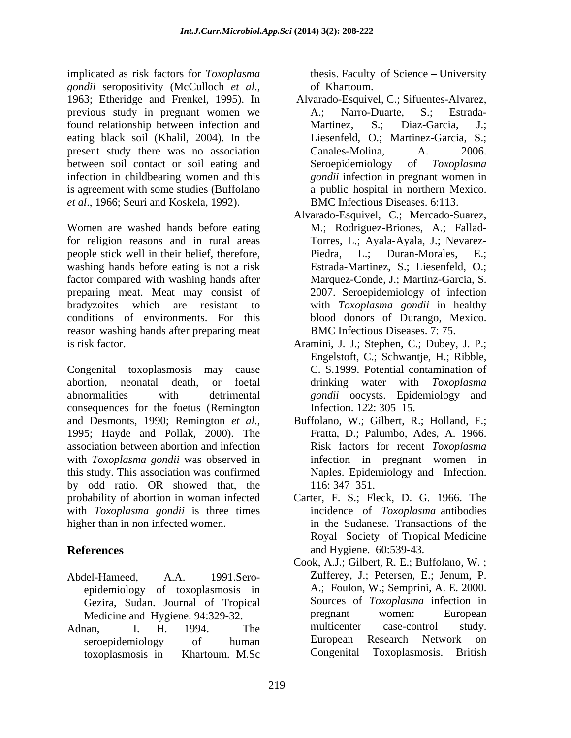implicated as risk factors for *Toxoplasma gondii* seropositivity (McCulloch *et al*., 1963; Etheridge and Frenkel, 1995). In previous study in pregnant women we A.; Narro-Duarte, S.; Estradafound relationship between infection and Martinez, S.; Diaz-Garcia, J.; eating black soil (Khalil, 2004). In the present study there was no association Canales-Molina, A. 2006. between soil contact or soil eating and Seroepidemiology of Toxoplasma infection in childbearing women and this is agreement with some studies (Buffolano *et al*., 1966; Seuri and Koskela, 1992).

Women are washed hands before eating for religion reasons and in rural areas people stick well in their belief, therefore, washing hands before eating is not a risk factor compared with washing hands after preparing meat. Meat may consist of bradyzoites which are resistant to with *Toxoplasma gondii* in healthy conditions of environments. For this blood donors of Durango, Mexico. reason washing hands after preparing meat is risk factor. Aramini, J. J.; Stephen, C.; Dubey, J. P.;

Congenital toxoplasmosis may cause C. S.1999. Potential contamination of abortion, neonatal death, or foetal drinking water with *Toxoplasma*  abnormalities with detrimental *gondii* oocysts. Epidemiology and consequences for the foetus (Remington Infection. 122: 305–15. and Desmonts, 1990; Remington *et al.*, Buffolano, W.; Gilbert, R.; Holland, F.; 1995; Hayde and Pollak, 2000). The Fratta, D.; Palumbo, Ades, A. 1966. association between abortion and infection with *Toxoplasma gondii* was observed in this study. This association was confirmed by odd ratio. OR showed that, the probability of abortion in woman infected with *Toxoplasma gondii* is three times higher than in non infected women. in the Sudanese. Transactions of the

- epidemiology of toxoplasmosis in
- toxoplasmosis in Khartoum. M.Sc

thesis. Faculty of Science – University of Khartoum.

- Alvarado-Esquivel, C.; Sifuentes-Alvarez, A.; Narro-Duarte, S.; Estrada- Martinez, S.; Diaz-Garcia, J.; Liesenfeld, O.; Martinez-Garcia, S.; Canales-Molina, A. 2006. Seroepidemiology of *Toxoplasma gondii* infection in pregnant women in a public hospital in northern Mexico. BMC Infectious Diseases. 6:113.
- Alvarado-Esquivel, C.; Mercado-Suarez, M.; Rodriguez-Briones, A.; Fallad- Torres, L.; Ayala-Ayala, J.; Nevarez- Piedra, L.; Duran-Morales, E.; Estrada-Martinez, S.; Liesenfeld, O.; Marquez-Conde, J.; Martinz-Garcia, S. 2007. Seroepidemiology of infection BMC Infectious Diseases. 7: 75.
- Engelstoft, C.; Schwantje, H.; Ribble, Infection. 122: 305–15.
- Buffolano, W.; Gilbert, R.; Holland, F.; Fratta, D.; Palumbo, Ades, A. 1966. Risk factors for recent *Toxoplasma* infection in pregnant women in Naples. Epidemiology and Infection. 116: 347–351.
- **References** and Hygiene. 60:539-43. Carter, F. S.; Fleck, D. G. 1966. The incidence of *Toxoplasma* antibodies Royal Society of Tropical Medicine
- Abdel-Hameed, A.A. 1991.Sero- Zufferey, J.; Petersen, E.; Jenum, P. Gezira, Sudan. Journal of Tropical Sources of Toxoplasma infection in<br>Medicine and Hygiene 94.329.32 energiant women: European Medicine and Hygiene. 94:329-32. <br>
Medicine and Hygiene. 94:329-32. The multicenter case-control study. Adnan, I. H. 1994. The multicenter case-control study. seroepidemiology of human Luropean Research Network on Cook, A.J.; Gilbert, R. E.; Buffolano, W. ; A.; Foulon, W.; Semprini, A. E. 2000. Sources of *Toxoplasma* infection in pregnant women: European multicenter case-control study. European Research Network on Congenital Toxoplasmosis. British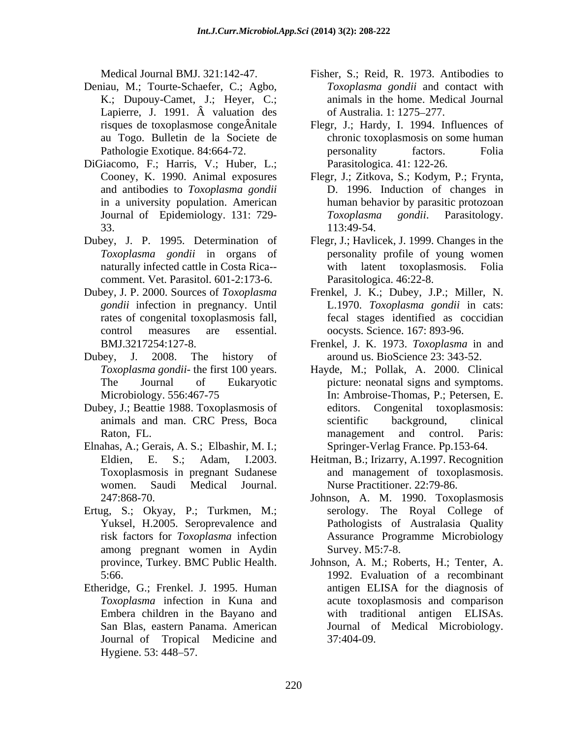- Deniau, M.; Tourte-Schaefer, C.; Agbo, K.; Dupouy-Camet, J.; Heyer, C.; Lapierre, J. 1991.  $\hat{A}$  valuation des of Australia. 1: 1275–277.
- DiGiacomo, F.; Harris, V.; Huber, L.;
- comment. Vet. Parasitol. 601-2:173-6.
- 
- Dubey, J. 2008. The history of around us. BioScience 23: 343-52.
- Dubey, J.; Beattie 1988. Toxoplasmosis of
- Elnahas, A.; Gerais, A. S.; Elbashir, M. I.; Toxoplasmosis in pregnant Sudanese women. Saudi Medical Journal. Nurse Practitioner. 22:79-86.
- Ertug, S.; Okyay, P.; Turkmen, M.; Yuksel, H.2005. Seroprevalence and among pregnant women in Aydin
- Etheridge, G.; Frenkel. J. 1995. Human Journal of Tropical Medicine and Hygiene. 53: 448–57.
- Medical Journal BMJ. 321:142-47. Fisher, S.; Reid, R. 1973. Antibodies to *Toxoplasma gondii* and contact with animals in the home. Medical Journal of Australia. 1: 1275–277.
- risques de toxoplasmose congeÂnitale Flegr, J.; Hardy, I. 1994. Influences of au Togo. Bulletin de la Societe de chronic toxoplasmosis on some human Pathologie Exotique. 84:664-72. The personality factors. Folia personality factors. Folia Parasitologica. 41: 122-26.
- Cooney, K. 1990. Animal exposures Flegr, J.; Zitkova, S.; Kodym, P.; Frynta, and antibodies to *Toxoplasma gondii* D. 1996. Induction of changes in in a university population. American human behavior by parasitic protozoan Journal of Epidemiology. 131: 729- Toxoplasma gondii. Parasitology.  $113:49-54.$ *Toxoplasma gondii*. Parasitology. 113:49-54.
- Dubey, J. P. 1995. Determination of Flegr, J.; Havlicek, J. 1999. Changes in the *Toxoplasma gondii* in organs of personality profile of young women naturally infected cattle in Costa Rica-- with latent toxoplasmosis. Folia Parasitologica. 46:22-8.
- Dubey, J. P. 2000. Sources of *Toxoplasma*  Frenkel, J. K.; Dubey, J.P.; Miller, N. *gondii* infection in pregnancy. Until L.1970. *Toxoplasma gondii* in cats: rates of congenital toxoplasmosis fall, fecal stages identified as coccidian control measures are essential. oocysts. Science. 167: 893-96.
	- BMJ.3217254:127-8. Frenkel, J. K. 1973. *Toxoplasma* in and
	- *Toxoplasma gondii* the first 100 years. Hayde, M.; Pollak, A. 2000. Clinical The Journal of Eukaryotic picture: neonatal signs and symptoms. Microbiology. 556:467-75 In: Ambroise-Thomas, P.; Petersen, E. animals and man. CRC Press, Boca Raton, FL. **Example 2018 Raton**, FL. **Paris: Raton**, FL. **Paris: Raton** Congenital toxoplasmosis: scientific background, clinical management and control. Paris: Springer-Verlag France. Pp.153-64.
	- Eldien, E. S.; Adam, I.2003. Heitman, B.; Irizarry, A.1997. Recognition and management of toxoplasmosis.
	- 247:868-70. Johnson, A. M. 1990. Toxoplasmosis risk factors for *Toxoplasma* infection Assurance Programme Microbiology serology. The Royal College of Pathologists of Australasia Quality Survey. M5:7-8.
	- province, Turkey. BMC Public Health. Johnson, A. M.; Roberts, H.; Tenter, A. 5:66. 1992. Evaluation of a recombinant *Toxoplasma* infection in Kuna and acute toxoplasmosis and comparison Embera children in the Bayano and with traditional antigen ELISAs. San Blas, eastern Panama. American antigen ELISA for the diagnosis of with traditional antigen ELISAs.<br>Journal of Medical Microbiology. 37:404-09.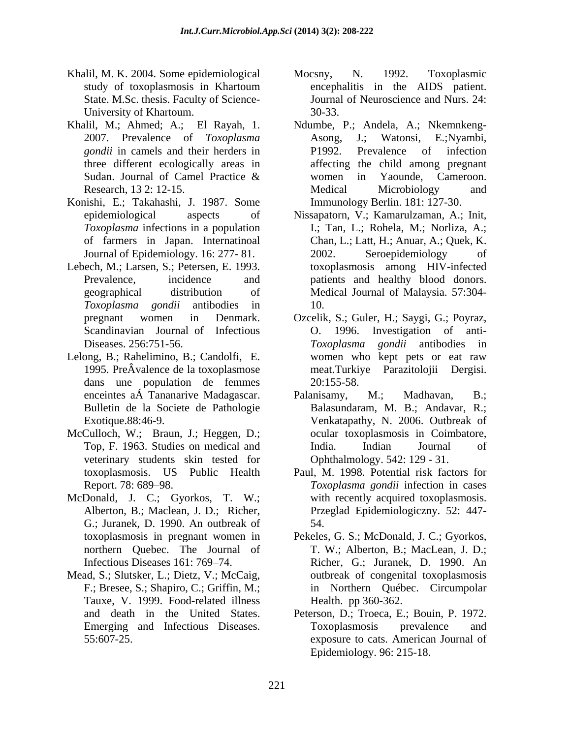- Khalil, M. K. 2004. Some epidemiological Mocsny, N. 1992. Toxoplasmic State. M.Sc. thesis. Faculty of Science- University of Khartoum. 30-33.
- 
- Konishi, E.; Takahashi, J. 1987. Some
- Lebech, M.; Larsen, S.; Petersen, E. 1993.
- Lelong, B.; Rahelimino, B.; Candolfi, E. dans une population de femmes
- McCulloch, W.; Braun, J.; Heggen, D.; veterinary students skin tested for
- McDonald, J. C.; Gyorkos, T. W.; G.; Juranek, D. 1990. An outbreak of
- Mead, S.; Slutsker, L.; Dietz, V.; McCaig, Tauxe, V. 1999. Food-related illness
- study of toxoplasmosis in Khartoum Mocsny, N. 1992. Toxoplasmic encephalitis in the AIDS patient. Journal of Neuroscience and Nurs. 24: 30-33.
- Khalil, M.; Ahmed; A.; El Rayah, 1. Ndumbe, P.; Andela, A.; Nkemnkeng-<br>2007. Prevalence of *Toxoplasma Asong, J.*; Watonsi, E.;Nyambi, *gondii* in camels and their herders in **P1992**. Prevalence of infection three different ecologically areas in affecting the child among pregnant Sudan. Journal of Camel Practice & women in Yaounde, Cameroon. Research, 13 2: 12-15. Nedical Microbiology and Ndumbe, P.; Andela, A.; Nkemnkeng- Asong, J.; Watonsi, E.;Nyambi, P1992. Prevalence of infection women in Yaounde, Cameroon. Medical Microbiology and Immunology Berlin. 181: 127-30.
	- epidemiological aspects of Nissapatorn, V.; Kamarulzaman, A.; Init, *Toxoplasma* infections in a population I.; Tan, L.; Rohela, M.; Norliza, A.; of farmers in Japan. Internatinoal Chan, L.; Latt, H.; Anuar, A.; Quek, K. Journal of Epidemiology. 16: 277-81. 2002. Seroepidemiology of Prevalence, incidence and patients and healthy blood donors. geographical distribution of Medical Journal of Malaysia. 57:304- *Toxoplasma gondii* antibodies in 2002. Seroepidemiology of toxoplasmosis among HIV-infected 10.
	- pregnant women in Denmark. Ozcelik, S.; Guler, H.; Saygi, G.; Poyraz, Scandinavian Journal of Infectious 0. 1996. Investigation of anti-Diseases. 256:751-56. Toxoplasma gondii antibodies in 1995. PreÂvalence de la toxoplasmose meat.Turkiye Parazitolojii Dergisi. O. 1996. Investigation of anti- *Toxoplasma gondii* antibodies in women who kept pets or eat raw 20:155-58.
	- enceintes aÁ Tananarive Madagascar. Palanisamy, M.; Madhavan, B.; Bulletin de la Societe de Pathologie Balasundaram, M. B.; Andavar, R.; Exotique.88:46-9. Venkatapathy, N. 2006. Outbreak of Top, F. 1963. Studies on medical and Palanisamy, M.; Madhavan, B.; ocular toxoplasmosis in Coimbatore, India. Indian Journal of Ophthalmology. 542: 129 - 31.
	- toxoplasmosis. US Public Health Paul, M. 1998. Potential risk factors for Report. 78: 689 98. *Toxoplasma gondii* infection in cases Alberton, B.; Maclean, J. D.; Richer, Przeglad Epidemiologiczny. 52: 447 with recently acquired toxoplasmosis. 54.
	- toxoplasmosis in pregnant women in Pekeles, G. S.; McDonald, J. C.; Gyorkos, northern Quebec. The Journal of T. W.; Alberton, B.; MacLean, J. D.; Infectious Diseases 161: 769 74. Richer, G.; Juranek, D. 1990. An F.; Bresee, S.; Shapiro, C.; Griffin, M.; in Northern Québec. Circumpolar outbreak of congenital toxoplasmosis Health. pp 360-362.
	- and death in the United States. Peterson, D.; Troeca, E.; Bouin, P. 1972. Emerging and Infectious Diseases. Toxoplasmosis prevalence and 55:607-25. exposure to cats. American Journal of Toxoplasmosis prevalence and Epidemiology. 96: 215-18.